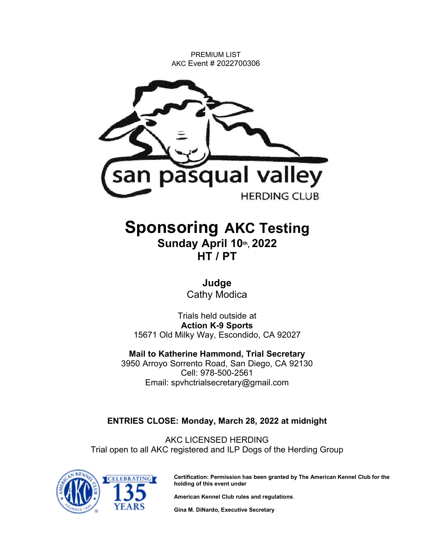PREMIUM LIST AKC Event # 2022700306



# Sponsoring AKC Test**ing** Sunday Apr**il** 1**0**th , 202**2**

HT / PT

**Judge** Cathy Modica

Trials held outside at Action K-9 Sports 15671 Old Milky Way, Escondido, CA 92027

Mail to **Katherine Hammond**, Trial Secretary 3950 Arroyo Sorrento Road, San Diego, CA 92130 Cell: 978-500-2561 Email: spvhctrialsecretary@gmail.com

## ENTRIES CLOSE: **Monday, March 28**, 202**2** at midnight

AKC LICENSED HERDING Trial open to all AKC registered and ILP Dogs of the Herding Group



Certification: Permission has been granted by The American Kennel Club for the holding of this event under

American Kennel Club rules and regulations.

Gina M. DiNardo, Executive Secretary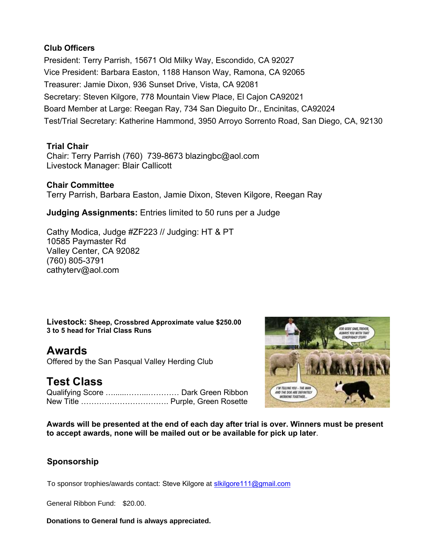## Club Officers

President: Terry Parrish, 15671 Old Milky Way, Escondido, CA 92027 Vice President: Barbara Easton, 1188 Hanson Way, Ramona, CA 92065 Treasurer: Jamie Dixon, 936 Sunset Drive, Vista, CA 92081 Secretary: Steven Kilgore, 778 Mountain View Place, El Cajon CA92021 Board Member at Large: Reegan Ray, 734 San Dieguito Dr., Encinitas, CA92024 Test/Trial Secretary: Katherine Hammond, 3950 Arroyo Sorrento Road, San Diego, CA, 92130

## Trial Chair

Chair: Terry Parrish (760) 739-8673 blazingbc@aol.com Livestock Manager: Blair Callicott

## Chair Committee Terry Parrish, Barbara Easton, Jamie Dixon, Steven Kilgore, Reegan Ray

Judging Assignment**s:** Entries limited to 50 runs per a Judge

Cathy Modica, Judge #ZF223 // Judging: HT & PT 10585 Paymaster Rd Valley Center, CA 92082 (760) 805-3791 cathyterv@aol.com

Livestock: Sheep, Crossbred Approximate value \$250.00 3 to 5 head for Trial Class Runs

Awards Offered by the San Pasqual Valley Herding Club

# Test Class

Qualifying Score …......……...………… Dark Green Ribbon New Title ……………………………. Purple, Green Rosette



Awards will be presented at the end of each day after trial is over. Winners must be present to accept awards, none will be mailed out or be available for pick up later.

## **Sponsorship**

To sponsor trophies/awards contact: Steve Kilgore at slkilgore111@gmail.com

General Ribbon Fund: \$20.00.

**Donations to General fund is always appreciated.**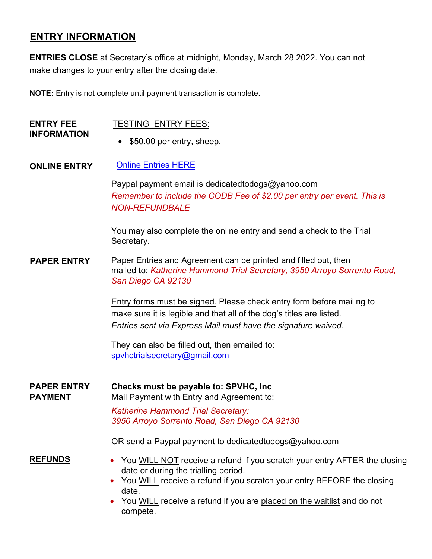## **ENTRY INFORMATION**

**ENTRIES CLOSE** at Secretary's office at midnight, Monday, March 28 2022. You can not make changes to your entry after the closing date.

**NOTE:** Entry is not complete until payment transaction is complete.

| <b>ENTRY FEE</b><br><b>INFORMATION</b> | <b>TESTING ENTRY FEES:</b><br>\$50.00 per entry, sheep.                                                                                                                                                                                                                                                                                                                                                                                                               |
|----------------------------------------|-----------------------------------------------------------------------------------------------------------------------------------------------------------------------------------------------------------------------------------------------------------------------------------------------------------------------------------------------------------------------------------------------------------------------------------------------------------------------|
| <b>ONLINE ENTRY</b>                    | <b>Online Entries HERE</b><br>Paypal payment email is dedicated todogs@yahoo.com<br>Remember to include the CODB Fee of \$2.00 per entry per event. This is<br><b>NON-REFUNDBALE</b><br>You may also complete the online entry and send a check to the Trial<br>Secretary.                                                                                                                                                                                            |
| <b>PAPER ENTRY</b>                     | Paper Entries and Agreement can be printed and filled out, then<br>mailed to: Katherine Hammond Trial Secretary, 3950 Arroyo Sorrento Road,<br>San Diego CA 92130<br>Entry forms must be signed. Please check entry form before mailing to<br>make sure it is legible and that all of the dog's titles are listed.<br>Entries sent via Express Mail must have the signature waived.<br>They can also be filled out, then emailed to:<br>spyhctrialsecretary@gmail.com |
| <b>PAPER ENTRY</b><br><b>PAYMENT</b>   | Checks must be payable to: SPVHC, Inc.<br>Mail Payment with Entry and Agreement to:<br><b>Katherine Hammond Trial Secretary:</b><br>3950 Arroyo Sorrento Road, San Diego CA 92130<br>OR send a Paypal payment to dedicated todogs@yahoo.com                                                                                                                                                                                                                           |
| <b>REFUNDS</b>                         | You WILL NOT receive a refund if you scratch your entry AFTER the closing<br>date or during the trialling period.<br>You WILL receive a refund if you scratch your entry BEFORE the closing<br>date.<br>You WILL receive a refund if you are placed on the waitlist and do not<br>compete.                                                                                                                                                                            |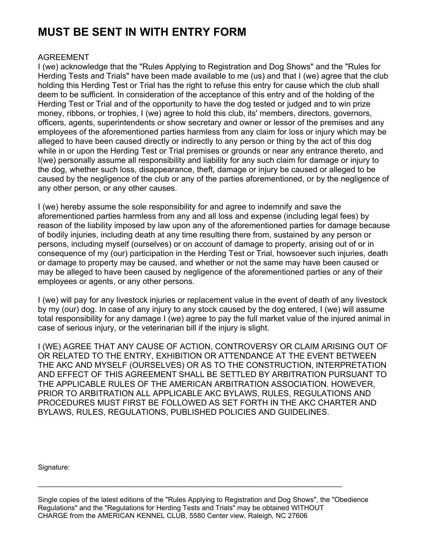# MUST BE SENT IN WITH ENTRY FORM

## AGREEMENT

I (we) acknowledge that the "Rules Applying to Registration and Dog Shows" and the "Rules for Herding Tests and Trials" have been made available to me (us) and that I (we) agree that the club holding this Herding Test or Trial has the right to refuse this entry for cause which the club shall deem to be sufficient. In consideration of the acceptance of this entry and of the holding of the Herding Test or Trial and of the opportunity to have the dog tested or judged and to win prize money, ribbons, or trophies, I (we) agree to hold this club, its' members, directors, governors, officers, agents, superintendents or show secretary and owner or lessor of the premises and any employees of the aforementioned parties harmless from any claim for loss or injury which may be alleged to have been caused directly or indirectly to any person or thing by the act of this dog while in or upon the Herding Test or Trial premises or grounds or near any entrance thereto, and I(we) personally assume all responsibility and liability for any such claim for damage or injury to the dog, whether such loss, disappearance, theft, damage or injury be caused or alleged to be caused by the negligence of the club or any of the parties aforementioned, or by the negligence of any other person, or any other causes.

I (we) hereby assume the sole responsibility for and agree to indemnify and save the aforementioned parties harmless from any and all loss and expense (including legal fees) by reason of the liability imposed by law upon any of the aforementioned parties for damage because of bodily injuries, including death at any time resulting there from, sustained by any person or persons, including myself (ourselves) or on account of damage to property, arising out of or in consequence of my (our) participation in the Herding Test or Trial, howsoever such injuries, death or damage to property may be caused, and whether or not the same may have been caused or may be alleged to have been caused by negligence of the aforementioned parties or any of their employees or agents, or any other persons.

I (we) will pay for any livestock injuries or replacement value in the event of death of any livestock by my (our) dog. In case of any injury to any stock caused by the dog entered, I (we) will assume total responsibility for any damage I (we) agree to pay the full market value of the injured animal in case of serious injury, or the veterinarian bill if the injury is slight.

I (WE) AGREE THAT ANY CAUSE OF ACTION, CONTROVERSY OR CLAIM ARISING OUT OF OR RELATED TO THE ENTRY, EXHIBITION OR ATTENDANCE AT THE EVENT BETWEEN THE AKC AND MYSELF (OURSELVES) OR AS TO THE CONSTRUCTION, INTERPRETATION AND EFFECT OF THIS AGREEMENT SHALL BE SETTLED BY ARBITRATION PURSUANT TO THE APPLICABLE RULES OF THE AMERICAN ARBITRATION ASSOCIATION. HOWEVER, PRIOR TO ARBITRATION ALL APPLICABLE AKC BYLAWS, RULES, REGULATIONS AND PROCEDURES MUST FIRST BE FOLLOWED AS SET FORTH IN THE AKC CHARTER AND BYLAWS, RULES, REGULATIONS, PUBLISHED POLICIES AND GUIDELINES.

Signature:

Single copies of the latest editions of the "Rules Applying to Registration and Dog Shows", the "Obedience Regulations" and the "Regulations for Herding Tests and Trials" may be obtained WITHOUT CHARGE from the AMERICAN KENNEL CLUB, 5580 Center view, Raleigh, NC 27606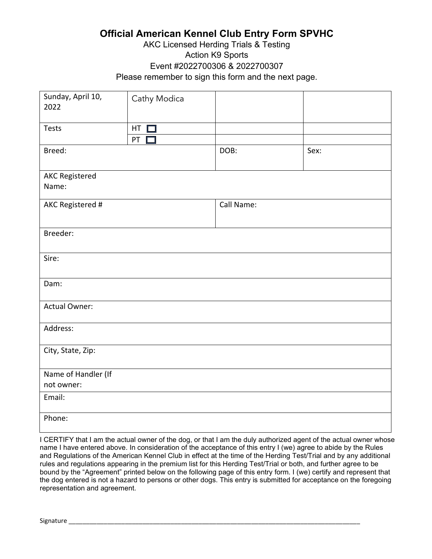## **Official American Kennel Club Entry Form SPVHC**

## AKC Licensed Herding Trials & Testing Action K9 Sports Event #2022700306 & 2022700307 Please remember to sign this form and the next page.

| Sunday, April 10,<br>2022 | Cathy Modica |            |      |  |  |
|---------------------------|--------------|------------|------|--|--|
| Tests                     | $HT$ $\Box$  |            |      |  |  |
|                           | PT $\square$ |            |      |  |  |
| Breed:                    |              | DOB:       | Sex: |  |  |
| <b>AKC Registered</b>     |              |            |      |  |  |
| Name:                     |              |            |      |  |  |
| AKC Registered #          |              | Call Name: |      |  |  |
| Breeder:                  |              |            |      |  |  |
| Sire:                     |              |            |      |  |  |
| Dam:                      |              |            |      |  |  |
| <b>Actual Owner:</b>      |              |            |      |  |  |
| Address:                  |              |            |      |  |  |
| City, State, Zip:         |              |            |      |  |  |
| Name of Handler (If       |              |            |      |  |  |
| not owner:                |              |            |      |  |  |
| Email:                    |              |            |      |  |  |
| Phone:                    |              |            |      |  |  |

I CERTIFY that I am the actual owner of the dog, or that I am the duly authorized agent of the actual owner whose name I have entered above. In consideration of the acceptance of this entry I (we) agree to abide by the Rules and Regulations of the American Kennel Club in effect at the time of the Herding Test/Trial and by any additional rules and regulations appearing in the premium list for this Herding Test/Trial or both, and further agree to be bound by the "Agreement" printed below on the following page of this entry form. I (we) certify and represent that the dog entered is not a hazard to persons or other dogs. This entry is submitted for acceptance on the foregoing representation and agreement.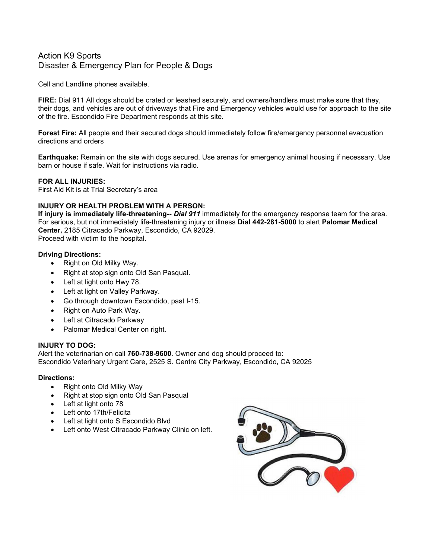## Action K9 Sports Disaster & Emergency Plan for People & Dogs

Cell and Landline phones available.

FIRE: Dial 911 All dogs should be crated or leashed securely, and owners/handlers must make sure that they, their dogs, and vehicles are out of driveways that Fire and Emergency vehicles would use for approach to the site of the fire. Escondido Fire Department responds at this site.

Forest Fire: All people and their secured dogs should immediately follow fire/emergency personnel evacuation directions and orders

Earthquake: Remain on the site with dogs secured. Use arenas for emergency animal housing if necessary. Use barn or house if safe. Wait for instructions via radio.

#### FOR ALL INJURIES:

First Aid Kit is at Trial Secretary's area

### INJURY OR HEALTH PROBLEM WITH A PERSON:

If injury is immediately life-threatening-- Dial 911 immediately for the emergency response team for the area. For serious, but not immediately life-threatening injury or illness Dial 442-281-5000 to alert Palomar Medical Center, 2185 Citracado Parkway, Escondido, CA 92029.

Proceed with victim to the hospital.

#### Driving Directions:

- Right on Old Milky Way.
- Right at stop sign onto Old San Pasqual.
- Left at light onto Hwy 78.
- Left at light on Valley Parkway.
- Go through downtown Escondido, past I-15.
- Right on Auto Park Way.
- Left at Citracado Parkway
- Palomar Medical Center on right.

#### INJURY TO DOG:

Alert the veterinarian on call 760-738-9600. Owner and dog should proceed to: Escondido Veterinary Urgent Care, 2525 S. Centre City Parkway, Escondido, CA 92025

#### Directions:

- Right onto Old Milky Way
- Right at stop sign onto Old San Pasqual
- Left at light onto 78
- Left onto 17th/Felicita
- Left at light onto S Escondido Blvd
- Left onto West Citracado Parkway Clinic on left.